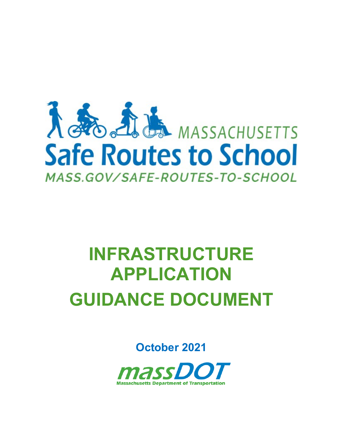

# **INFRASTRUCTURE APPLICATION GUIDANCE DOCUMENT**

**October 2021**

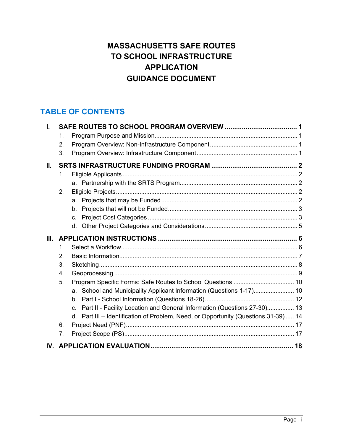# **MASSACHUSETTS SAFE ROUTES TO SCHOOL INFRASTRUCTURE APPLICATION GUIDANCE DOCUMENT**

# **TABLE OF CONTENTS**

|    | 1.             |                                                                                            |  |
|----|----------------|--------------------------------------------------------------------------------------------|--|
|    | 2.             |                                                                                            |  |
|    | 3.             |                                                                                            |  |
| H. |                |                                                                                            |  |
|    | 1.             |                                                                                            |  |
|    |                |                                                                                            |  |
|    | 2.             |                                                                                            |  |
|    |                | a.                                                                                         |  |
|    |                | b.                                                                                         |  |
|    |                | C.                                                                                         |  |
|    |                | d.                                                                                         |  |
| Ш. |                |                                                                                            |  |
|    | $\mathbf{1}$ . |                                                                                            |  |
|    | 2.             |                                                                                            |  |
|    | 3.             |                                                                                            |  |
|    | 4.             |                                                                                            |  |
|    | 5.             |                                                                                            |  |
|    |                | a. School and Municipality Applicant Information (Questions 1-17) 10                       |  |
|    |                | $b_{-}$                                                                                    |  |
|    |                | Part II - Facility Location and General Information (Questions 27-30) 13<br>$\mathbf{C}$ . |  |
|    |                | d. Part III - Identification of Problem, Need, or Opportunity (Questions 31-39)  14        |  |
|    | 6.             |                                                                                            |  |
|    | 7.             |                                                                                            |  |
|    |                |                                                                                            |  |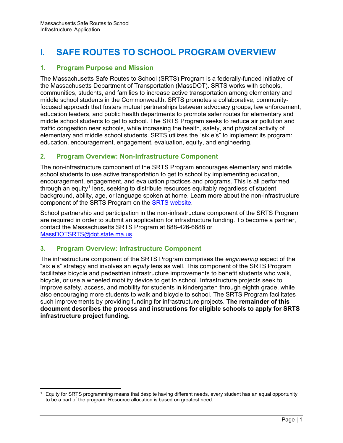# <span id="page-2-0"></span>**I. SAFE ROUTES TO SCHOOL PROGRAM OVERVIEW**

# <span id="page-2-1"></span>**1. Program Purpose and Mission**

The Massachusetts Safe Routes to School (SRTS) Program is a federally-funded initiative of the Massachusetts Department of Transportation (MassDOT). SRTS works with schools, communities, students, and families to increase active transportation among elementary and middle school students in the Commonwealth. SRTS promotes a collaborative, communityfocused approach that fosters mutual partnerships between advocacy groups, law enforcement, education leaders, and public health departments to promote safer routes for elementary and middle school students to get to school. The SRTS Program seeks to reduce air pollution and traffic congestion near schools, while increasing the health, safety, and physical activity of elementary and middle school students. SRTS utilizes the "six e's" to implement its program: education, encouragement, engagement, evaluation, equity, and engineering.

# <span id="page-2-2"></span>**2. Program Overview: Non-Infrastructure Component**

The non-infrastructure component of the SRTS Program encourages elementary and middle school students to use active transportation to get to school by implementing education, encouragement, engagement, and evaluation practices and programs. This is all performed through an equity $^{\rm 1}$  $^{\rm 1}$  $^{\rm 1}$  lens, seeking to distribute resources equitably regardless of student background, ability, age, or language spoken at home. Learn more about the non-infrastructure component of the SRTS Program on th[e SRTS website.](https://www.mass.gov/safe-routes-to-school)

School partnership and participation in the non-infrastructure component of the SRTS Program are required in order to submit an application for infrastructure funding. To become a partner, contact the Massachusetts SRTS Program at 888-426-6688 or MassDOTSRTS[@dot.state.ma.us.](mailto:MassDOTSRTS@dot.state.ma.us)

# <span id="page-2-3"></span>**3. Program Overview: Infrastructure Component**

The infrastructure component of the SRTS Program comprises the *engineering* aspect of the "six e's" strategy and involves an *equity* lens as well. This component of the SRTS Program facilitates bicycle and pedestrian infrastructure improvements to benefit students who walk, bicycle, or use a wheeled mobility device to get to school. Infrastructure projects seek to improve safety, access, and mobility for students in kindergarten through eighth grade, while also encouraging more students to walk and bicycle to school. The SRTS Program facilitates such improvements by providing funding for infrastructure projects. **The remainder of this document describes the process and instructions for eligible schools to apply for SRTS infrastructure project funding.** 

<span id="page-2-4"></span><sup>&</sup>lt;sup>1</sup> Equity for SRTS programming means that despite having different needs, every student has an equal opportunity to be a part of the program. Resource allocation is based on greatest need.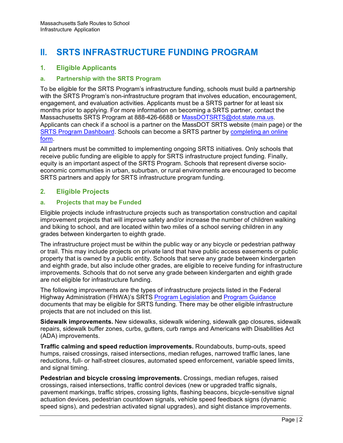# <span id="page-3-0"></span>**II. SRTS INFRASTRUCTURE FUNDING PROGRAM**

# <span id="page-3-1"></span>**1. Eligible Applicants**

#### <span id="page-3-2"></span>**a. Partnership with the SRTS Program**

To be eligible for the SRTS Program's infrastructure funding, schools must build a partnership with the SRTS Program's non-infrastructure program that involves education, encouragement, engagement, and evaluation activities. Applicants must be a SRTS partner for at least six months prior to applying. For more information on becoming a SRTS partner, contact the Massachusetts SRTS Program at 888-426-6688 or MassDOTSRTS[@dot.state.ma.us.](mailto:MassDOTSRTS@dot.state.ma.us) Applicants can check if a school is a partner on th[e MassDOT SRTS website](https://www.mass.gov/safe-routes-to-school) (m[ain page\) or the](https://massdot.maps.arcgis.com/apps/opsdashboard/index.html#/67b6b4eb55ad4c359ed67af1c2ebc664)  SRTS [Program Das](https://massdot.maps.arcgis.com/apps/opsdashboard/index.html#/67b6b4eb55ad4c359ed67af1c2ebc664)[hboard. Schools can become a SRTS partner by](https://gis.massdot.state.ma.us/forms/srts_partner/) completing an online form.

All partners must be committed to implementing ongoing SRTS initiatives. Only schools that receive public funding are eligible to apply for SRTS infrastructure project funding. Finally, equity is an important aspect of the SRTS Program. Schools that represent diverse socioeconomic communities in urban, suburban, or rural environments are encouraged to become SRTS partners and apply for SRTS infrastructure program funding.

# <span id="page-3-4"></span><span id="page-3-3"></span>**2. Eligible Projects**

## **a. Projects that may be Funded**

Eligible projects include infrastructure projects such as transportation construction and capital improvement projects that will improve safety and/or increase the number of children walking and biking to school, and are located within two miles of a school serving children in any grades between kindergarten to eighth grade.

The infrastructure project must be within the public way or any bicycle or pedestrian pathway or trail. This may include projects on private land that have public access easements or public property that is owned by a public entity. Schools that serve any grade between kindergarten and eighth grade, but also include other grades, are eligible to receive funding for infrastructure improvements. Schools that do not serve any grade between kindergarten and eighth grade are not eligible for infrastructure funding.

The following improvements are the types of infrastructure projec[ts listed in the Federa](https://www.fhwa.dot.gov/environment/safe_routes_to_school/guidance/)l Highway Administration (FHWA)'s SRTS [Program Legislation](https://www.fhwa.dot.gov/environment/safe_routes_to_school/overview/legislation.cfm) and Program Guidance documents that may be eligible for SRTS funding. There may be other eligible infrastructure projects that are not included on this list.

**Sidewalk improvements.** New sidewalks, sidewalk widening, sidewalk gap closures, sidewalk repairs, sidewalk buffer zones, curbs, gutters, curb ramps and Americans with Disabilities Act (ADA) improvements.

**Traffic calming and speed reduction improvements.** Roundabouts, bump-outs, speed humps, raised crossings, raised intersections, median refuges, narrowed traffic lanes, lane reductions, full- or half-street closures, automated speed enforcement, variable speed limits, and signal timing.

**Pedestrian and bicycle crossing improvements.** Crossings, median refuges, raised crossings, raised intersections, traffic control devices (new or upgraded traffic signals, pavement markings, traffic stripes, crossing lights, flashing beacons, bicycle-sensitive signal actuation devices, pedestrian countdown signals, vehicle speed feedback signs (dynamic speed signs), and pedestrian activated signal upgrades), and sight distance improvements.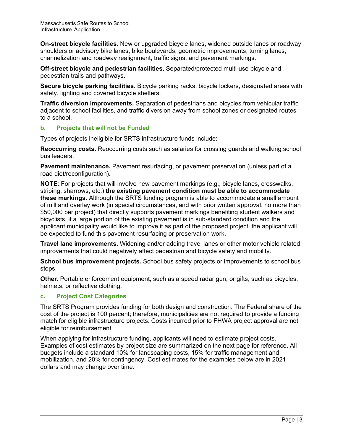**On-street bicycle facilities.** New or upgraded bicycle lanes, widened outside lanes or roadway shoulders or advisory bike lanes, bike boulevards, geometric improvements, turning lanes, channelization and roadway realignment, traffic signs, and pavement markings.

**Off-street bicycle and pedestrian facilities.** Separated/protected multi-use bicycle and pedestrian trails and pathways.

**Secure bicycle parking facilities.** Bicycle parking racks, bicycle lockers, designated areas with safety, lighting and covered bicycle shelters.

**Traffic diversion improvements.** Separation of pedestrians and bicycles from vehicular traffic adjacent to school facilities, and traffic diversion away from school zones or designated routes to a school.

## <span id="page-4-0"></span>**b. Projects that will not be Funded**

Types of projects ineligible for SRTS infrastructure funds include:

**Reoccurring costs.** Reoccurring costs such as salaries for crossing guards and walking school bus leaders.

**Pavement maintenance.** Pavement resurfacing, or pavement preservation (unless part of a road diet/reconfiguration).

**NOTE**: For projects that will involve new pavement markings (e.g., bicycle lanes, crosswalks, striping, sharrows, etc.) **the existing pavement condition must be able to accommodate these markings**. Although the SRTS funding program is able to accommodate a small amount of mill and overlay work (in special circumstances, and with prior written approval, no more than \$50,000 per project) that directly supports pavement markings benefiting student walkers and bicyclists, if a large portion of the existing pavement is in sub-standard condition and the applicant municipality would like to improve it as part of the proposed project, the applicant will be expected to fund this pavement resurfacing or preservation work.

**Travel lane improvements.** Widening and/or adding travel lanes or other motor vehicle related improvements that could negatively affect pedestrian and bicycle safety and mobility.

**School bus improvement projects.** School bus safety projects or improvements to school bus stops.

**Other.** Portable enforcement equipment, such as a speed radar gun, or gifts, such as bicycles, helmets, or reflective clothing.

#### <span id="page-4-1"></span>**c. Project Cost Categories**

The SRTS Program provides funding for both design and construction. The Federal share of the cost of the project is 100 percent; therefore, municipalities are not required to provide a funding match for eligible infrastructure projects. Costs incurred prior to FHWA project approval are not eligible for reimbursement.

When applying for infrastructure funding, applicants will need to estimate project costs. Examples of cost estimates by project size are summarized on the next page for reference. All budgets include a standard 10% for landscaping costs, 15% for traffic management and mobilization, and 20% for contingency. Cost estimates for the examples below are in 2021 dollars and may change over time.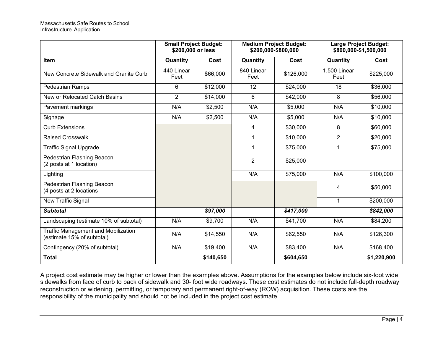|                                                                          | <b>Small Project Budget:</b><br>\$200,000 or less |           | <b>Medium Project Budget:</b><br>\$200,000-\$800,000 |                      | Large Project Budget:<br>\$800,000-\$1,500,000 |             |
|--------------------------------------------------------------------------|---------------------------------------------------|-----------|------------------------------------------------------|----------------------|------------------------------------------------|-------------|
| <b>Item</b>                                                              | Quantity                                          | Cost      | Quantity                                             | Cost                 | Quantity                                       | Cost        |
| New Concrete Sidewalk and Granite Curb                                   | 440 Linear<br>Feet                                | \$66,000  | 840 Linear<br>Feet                                   | \$126,000            | 1,500 Linear<br>Feet                           | \$225,000   |
| Pedestrian Ramps                                                         | 6                                                 | \$12,000  | 12                                                   | \$24,000             | 18                                             | \$36,000    |
| New or Relocated Catch Basins                                            | $\overline{2}$                                    | \$14,000  | 6                                                    | \$42,000             | 8                                              | \$56,000    |
| Pavement markings                                                        | N/A                                               | \$2,500   | N/A                                                  | \$5,000              | N/A                                            | \$10,000    |
| Signage                                                                  | N/A                                               | \$2,500   | N/A                                                  | \$5,000              | N/A                                            | \$10,000    |
| <b>Curb Extensions</b>                                                   |                                                   |           | 4                                                    | \$30,000             | 8                                              | \$60,000    |
| <b>Raised Crosswalk</b>                                                  |                                                   |           | 1                                                    | $\overline{$}10,000$ | $\overline{2}$                                 | \$20,000    |
| <b>Traffic Signal Upgrade</b>                                            |                                                   |           | 1                                                    | \$75,000             | $\mathbf{1}$                                   | \$75,000    |
| Pedestrian Flashing Beacon<br>(2 posts at 1 location)                    |                                                   |           | $\overline{2}$                                       | \$25,000             |                                                |             |
| Lighting                                                                 |                                                   |           | N/A                                                  | \$75,000             | N/A                                            | \$100,000   |
| Pedestrian Flashing Beacon<br>(4 posts at 2 locations                    |                                                   |           |                                                      |                      | 4                                              | \$50,000    |
| New Traffic Signal                                                       |                                                   |           |                                                      |                      | $\mathbf{1}$                                   | \$200,000   |
| <b>Subtotal</b>                                                          |                                                   | \$97,000  |                                                      | \$417,000            |                                                | \$842,000   |
| Landscaping (estimate 10% of subtotal)                                   | N/A                                               | \$9,700   | N/A                                                  | \$41,700             | N/A                                            | \$84,200    |
| <b>Traffic Management and Mobilization</b><br>(estimate 15% of subtotal) | N/A                                               | \$14,550  | N/A                                                  | \$62,550             | N/A                                            | \$126,300   |
| Contingency (20% of subtotal)                                            | N/A                                               | \$19,400  | N/A                                                  | \$83,400             | N/A                                            | \$168,400   |
| <b>Total</b>                                                             |                                                   | \$140,650 |                                                      | \$604,650            |                                                | \$1,220,900 |

A project cost estimate may be higher or lower than the examples above. Assumptions for the examples below include six-foot wide sidewalks from face of curb to back of sidewalk and 30- foot wide roadways. These cost estimates do not include full-depth roadway reconstruction or widening, permitting, or temporary and permanent right-of-way (ROW) acquisition. These costs are the responsibility of the municipality and should not be included in the project cost estimate.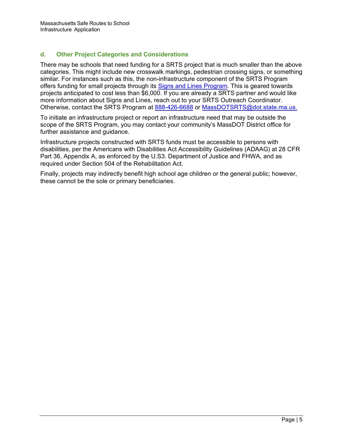# <span id="page-6-0"></span>**d. Other Project Categories and Considerations**

There may be schools that need funding for a SRTS project that is much smaller than the above categories. This might include new crosswalk markings, pedestrian crossing signs, or something similar. For instances such as this, the non-infrastructure component of the SRTS Program offers funding for small projects through its [Signs and Lines Program.](https://www.mass.gov/info-details/safe-routes-to-school-engineering#srts-signs-and-lines-program-) This is geared towards projects anticipated to cost less than \$6,000. If you are already a SRTS partner and would like more information about Signs and Lines, reach out to your SRTS Outreach Coordinator. Otherwise, contact the SRTS Program at 888-426-6688 or Mas[sDOTSRTS](mailto:SRTS.MassRides@dot.state.ma.us)[@dot.state.ma.us.](mailto:MassDOTSRTS@dot.state.ma.us)

To initiate an infrastructure project or report an infrastructure need that may be outside the scope of the SRTS Program, you may contact your community's MassDOT District office for further assistance and guidance.

Infrastructure projects constructed with SRTS funds must be accessible to persons with disabilities, per the Americans with Disabilities Act Accessibility Guidelines (ADAAG) at 28 CFR Part 36, Appendix A, as enforced by the U.S3. Department of Justice and FHWA, and as required under Section 504 of the Rehabilitation Act.

Finally, projects may indirectly benefit high school age children or the general public; however, these cannot be the sole or primary beneficiaries.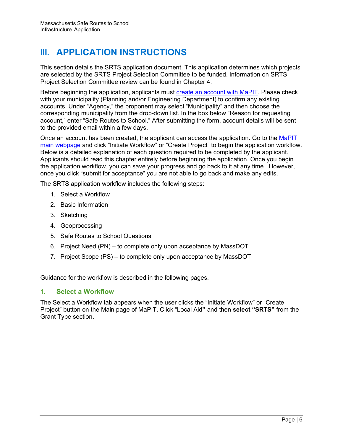# <span id="page-7-0"></span>**III. APPLICATION INSTRUCTIONS**

This section details the SRTS application document. This application determines which projects are selected by the SRTS Project Selection Committee to be funded. Information on SRTS Project Selection Committee review can be found in Chapter 4.

Before beginning the application, applicants must [create an account with MaPIT.](https://www.mass.gov/forms/request-a-geodot-account) Please check with your municipality (Planning and/or Engineering Department) to confirm any existing accounts. Under "Agency," the proponent may select "Municipality" and then choose the corresponding municipality from the drop-down list. In the box below "Reason for requesting account," enter "Safe Routes to School." After submitting the form, account details will be sent to the provided email within a few days.

Once an account has been created, the applicant can access the application. Go to the [MaPIT](https://gis.massdot.state.ma.us/mapit/)  [main webpage](https://gis.massdot.state.ma.us/mapit/) and click "Initiate Workflow" or "Create Project" to begin the application workflow. Below is a detailed explanation of each question required to be completed by the applicant. Applicants should read this chapter entirely before beginning the application. Once you begin the application workflow, you can save your progress and go back to it at any time. However, once you click "submit for acceptance" you are not able to go back and make any edits.

The SRTS application workflow includes the following steps:

- 1. Select a Workflow
- 2. Basic Information
- 3. Sketching
- 4. Geoprocessing
- 5. Safe Routes to School Questions
- 6. Project Need (PN) to complete only upon acceptance by MassDOT
- 7. Project Scope (PS) to complete only upon acceptance by MassDOT

Guidance for the workflow is described in the following pages.

# <span id="page-7-1"></span>**1. Select a Workflow**

The Select a Workflow tab appears when the user clicks the "Initiate Workflow" or "Create Project" button on the Main page of MaPIT. Click "Local Aid**"** and then **select "SRTS"** from the Grant Type section.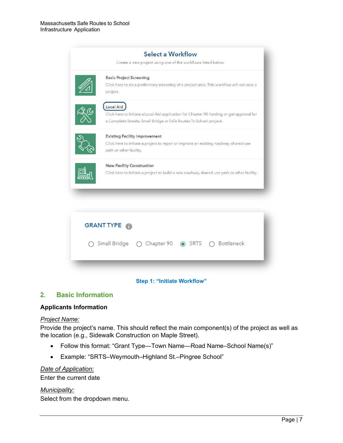|                                                                                                                                                          | Select a Workflow<br>Create a new project using one of the workflows listed below.                                                                                           |  |  |
|----------------------------------------------------------------------------------------------------------------------------------------------------------|------------------------------------------------------------------------------------------------------------------------------------------------------------------------------|--|--|
|                                                                                                                                                          | <b>Basic Project Screening</b><br>Click here to do a preliminary screening of a project area. This workflow will not save a<br>project.                                      |  |  |
|                                                                                                                                                          | Local Aid<br>Click here to initiate a Local Aid application for Chapter 90 funding or get approval for<br>a Complete Streets, Small Bridge or Safe Routes To School project. |  |  |
| <b>Existing Facility Improvement</b><br>Click here to initiate a project to repair or improve an existing roadway, shared-use<br>path or other facility. |                                                                                                                                                                              |  |  |
| <b>New Facility Construction</b><br>Click here to initiate a project to build a new roadway, shared-use path or other facility.                          |                                                                                                                                                                              |  |  |
|                                                                                                                                                          |                                                                                                                                                                              |  |  |
|                                                                                                                                                          | <b>GRANT TYPE</b>                                                                                                                                                            |  |  |
|                                                                                                                                                          | Small Bridge<br>Chapter 90 @ SRTS<br>Bottleneck                                                                                                                              |  |  |
|                                                                                                                                                          |                                                                                                                                                                              |  |  |



# <span id="page-8-0"></span>**2. Basic Information**

#### **Applicants Information**

#### *Project Name:*

Provide the project's name. This should reflect the main component(s) of the project as well as the location (e.g., Sidewalk Construction on Maple Street).

- Follow this format: "Grant Type—Town Name—Road Name–School Name(s)"
- Example: "SRTS–Weymouth–Highland St.–Pingree School"

#### *Date of Application:*

Enter the current date

#### *Municipality:*  Select from the dropdown menu.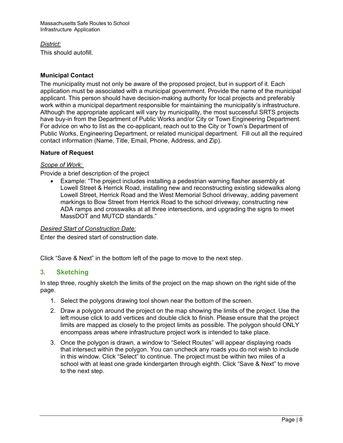Massachusetts Safe Routes to School Infrastructure Application

*District:*  This should autofill.

#### **Municipal Contact**

The municipality must not only be aware of the proposed project, but in support of it. Each application must be associated with a municipal government. Provide the name of the municipal applicant. This person should have decision-making authority for local projects and preferably work within a municipal department responsible for maintaining the municipality's infrastructure. Although the appropriate applicant will vary by municipality, the most successful SRTS projects have buy-in from the Department of Public Works and/or City or Town Engineering Department. For advice on who to list as the co-applicant, reach out to the City or Town's Department of Public Works, Engineering Department, or related municipal department. Fill out all the required contact information (Name, Title, Email, Phone, Address, and Zip).

#### **Nature of Request**

#### *Scope of Work:*

Provide a brief description of the project

• Example: "The project includes installing a pedestrian warning flasher assembly at Lowell Street & Herrick Road, installing new and reconstructing existing sidewalks along Lowell Street, Herrick Road and the West Memorial School driveway, adding pavement markings to Bow Street from Herrick Road to the school driveway, constructing new ADA ramps and crosswalks at all three intersections, and upgrading the signs to meet MassDOT and MUTCD standards."

#### *Desired Start of Construction Date:*

Enter the desired start of construction date.

Click "Save & Next" in the bottom left of the page to move to the next step.

#### <span id="page-9-0"></span>**3. Sketching**

In step three, roughly sketch the limits of the project on the map shown on the right side of the page.

- 1. Select the polygons drawing tool shown near the bottom of the screen.
- 2. Draw a polygon around the project on the map showing the limits of the project. Use the left mouse click to add vertices and double click to finish. Please ensure that the project limits are mapped as closely to the project limits as possible. The polygon should ONLY encompass areas where infrastructure project work is intended to take place.
- 3. Once the polygon is drawn, a window to "Select Routes" will appear displaying roads that intersect within the polygon. You can uncheck any roads you do not wish to include in this window. Click "Select" to continue. The project must be within two miles of a school with at least one grade kindergarten through eighth. Click "Save & Next" to move to the next step.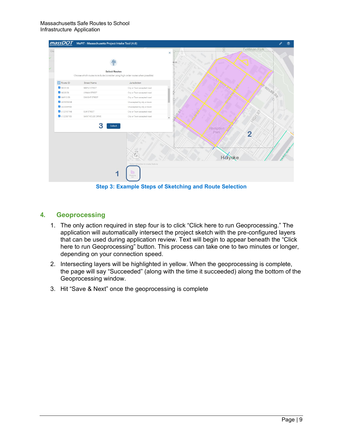| massDOT             | MaPIT - Massachusetts Project Intake Tool (4.0) |                                                                                                         |                                   |
|---------------------|-------------------------------------------------|---------------------------------------------------------------------------------------------------------|-----------------------------------|
|                     |                                                 | <b>Select Routes</b><br>Choose which routes to include (consider using high order routes when possible) | Feldman Park<br>φ<br>×<br>22.60   |
| Route ID            | Street Name                                     | Jurisdiction                                                                                            |                                   |
| N025 SB             | MAPLE STREET                                    | City or Town accepted road                                                                              |                                   |
| N028 EB             | LYMAN STREET                                    | City or Town accepted road                                                                              | KOLBA                             |
| N4913 EB            | <b>DWIGHT STREET</b>                            | City or Town accepted road                                                                              | Ř                                 |
| <b>2</b> L023238 NB |                                                 | Unaccepted by city or town                                                                              |                                   |
| L023349 EB          |                                                 | Unaccepted by city or town                                                                              |                                   |
| L122157 NB          | ELM STREET                                      | City or Town accepted road                                                                              |                                   |
| L122387 EB          | SAINT KOLBE DRIVE                               | City or Town accepted road                                                                              | Cocco<br>$\star$                  |
|                     | s                                               | Select<br>6.00<br>Tas.                                                                                  | Hampden<br>Park<br>$\overline{2}$ |
|                     |                                                 | Select template to create feature<br>Sketching<br>most                                                  | Holyoke                           |

**Step 3: Example Steps of Sketching and Route Selection**

# <span id="page-10-0"></span>**4. Geoprocessing**

- 1. The only action required in step four is to click "Click here to run Geoprocessing." The application will automatically intersect the project sketch with the pre-configured layers that can be used during application review. Text will begin to appear beneath the "Click here to run Geoprocessing" button. This process can take one to two minutes or longer, depending on your connection speed.
- 2. Intersecting layers will be highlighted in yellow. When the geoprocessing is complete, the page will say "Succeeded" (along with the time it succeeded) along the bottom of the Geoprocessing window.
- 3. Hit "Save & Next" once the geoprocessing is complete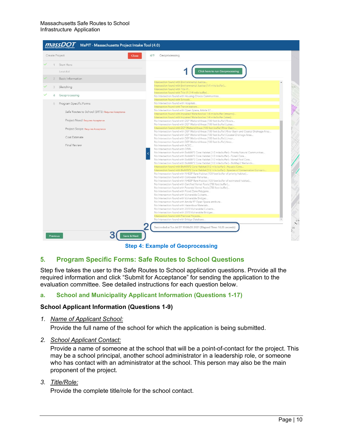

**Step 4: Example of Geoprocessing**

# <span id="page-11-0"></span>**5. Program Specific Forms: Safe Routes to School Questions**

Step five takes the user to the Safe Routes to School application questions. Provide all the required information and click "Submit for Acceptance" for sending the application to the evaluation committee. See detailed instructions for each question below.

#### <span id="page-11-1"></span>**a. School and Municipality Applicant Information (Questions 1-17)**

#### **School Applicant Information (Questions 1-9)**

*1. Name of Applicant School:*

Provide the full name of the school for which the application is being submitted.

*2. School Applicant Contact:*

Provide a name of someone at the school that will be a point-of-contact for the project. This may be a school principal, another school administrator in a leadership role, or someone who has contact with an administrator at the school. This person may also be the main proponent of the project.

*3. Title/Role:*

Provide the complete title/role for the school contact.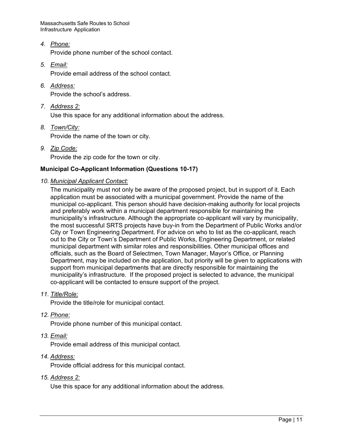Massachusetts Safe Routes to School Infrastructure Application

*4. Phone:*

Provide phone number of the school contact.

*5. Email:*

Provide email address of the school contact.

*6. Address:*

Provide the school's address.

*7. Address 2:*

Use this space for any additional information about the address.

*8. Town/City:*

Provide the name of the town or city.

*9. Zip Code:* Provide the zip code for the town or city.

## **Municipal Co-Applicant Information (Questions 10-17)**

*10. Municipal Applicant Contact:*

The municipality must not only be aware of the proposed project, but in support of it. Each application must be associated with a municipal government. Provide the name of the municipal co-applicant. This person should have decision-making authority for local projects and preferably work within a municipal department responsible for maintaining the municipality's infrastructure. Although the appropriate co-applicant will vary by municipality, the most successful SRTS projects have buy-in from the Department of Public Works and/or City or Town Engineering Department. For advice on who to list as the co-applicant, reach out to the City or Town's Department of Public Works, Engineering Department, or related municipal department with similar roles and responsibilities. Other municipal offices and officials, such as the Board of Selectmen, Town Manager, Mayor's Office, or Planning Department, may be included on the application, but priority will be given to applications with support from municipal departments that are directly responsible for maintaining the municipality's infrastructure. If the proposed project is selected to advance, the municipal co-applicant will be contacted to ensure support of the project.

#### *11. Title/Role:*

Provide the title/role for municipal contact.

*12. Phone:*

Provide phone number of this municipal contact.

#### *13. Email:*

Provide email address of this municipal contact.

#### *14. Address:*

Provide official address for this municipal contact.

*15. Address 2:*

Use this space for any additional information about the address.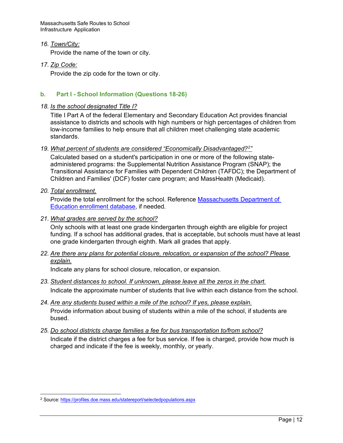Massachusetts Safe Routes to School Infrastructure Application

#### *16. Town/City:*

Provide the name of the town or city.

#### *17. Zip Code:*

Provide the zip code for the town or city.

#### <span id="page-13-0"></span>**b. Part I - School Information (Questions 18-26)**

#### *18. Is the school designated Title I?*

Title I Part A of the federal Elementary and Secondary Education Act provides financial assistance to districts and schools with high numbers or high percentages of children from low-income families to help ensure that all children meet challenging state academic standards.

#### *19. What percent of students are considered "Economically Disadvantaged?[2"](#page-13-1)*

Calculated based on a student's participation in one or more of the following stateadministered programs: the Supplemental Nutrition Assistance Program (SNAP); the Transitional Assistance for Families with Dependent Children (TAFDC); the Department of Children and Families' (DCF) foster care program; and MassHealth (Medicaid).

#### *20. Total enrollment.*

Provide the total enrollment for the school. Reference [Massachusetts Department of](https://www.doe.mass.edu/infoservices/reports/enroll/)  [Education enrollment database,](https://www.doe.mass.edu/infoservices/reports/enroll/) if needed.

#### *21. What grades are served by the school?*

Only schools with at least one grade kindergarten through eighth are eligible for project funding. If a school has additional grades, that is acceptable, but schools must have at least one grade kindergarten through eighth. Mark all grades that apply.

#### *22. Are there any plans for potential closure, relocation, or expansion of the school? Please explain.*

Indicate any plans for school closure, relocation, or expansion.

- *23. Student distances to school. If unknown, please leave all the zeros in the chart.* Indicate the approximate number of students that live within each distance from the school.
- *24. Are any students bused within a mile of the school? If yes, please explain.* Provide information about busing of students within a mile of the school, if students are bused.
- *25. Do school districts charge families a fee for bus transportation to/from school?* Indicate if the district charges a fee for bus service. If fee is charged, provide how much is charged and indicate if the fee is weekly, monthly, or yearly.

<span id="page-13-1"></span><sup>2</sup> Source: <https://profiles.doe.mass.edu/statereport/selectedpopulations.aspx>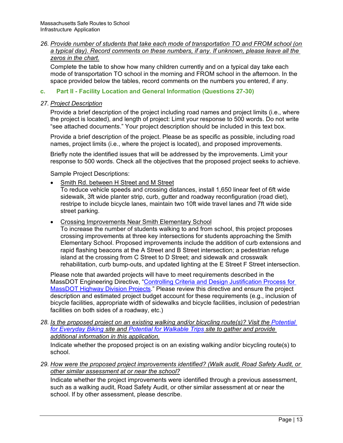#### *26. Provide number of students that take each mode of transportation TO and FROM school (on a typical day). Record comments on these numbers, if any. If unknown, please leave all the zeros in the chart.*

Complete the table to show how many children currently and on a typical day take each mode of transportation TO school in the morning and FROM school in the afternoon. In the space provided below the tables, record comments on the numbers you entered, if any.

#### <span id="page-14-0"></span>**c. Part II - Facility Location and General Information (Questions 27-30)**

#### *27. Project Description*

Provide a brief description of the project including road names and project limits (i.e., where the project is located), and length of project: Limit your response to 500 words. Do not write "see attached documents." Your project description should be included in this text box.

Provide a brief description of the project. Please be as specific as possible, including road names, project limits (i.e., where the project is located), and proposed improvements.

Briefly note the identified issues that will be addressed by the improvements. Limit your response to 500 words. Check all the objectives that the proposed project seeks to achieve.

Sample Project Descriptions:

• Smith Rd. between H Street and M Street

To reduce vehicle speeds and crossing distances, install 1,650 linear feet of 6ft wide sidewalk, 3ft wide planter strip, curb, gutter and roadway reconfiguration (road diet), restripe to include bicycle lanes, maintain two 10ft wide travel lanes and 7ft wide side street parking.

• Crossing Improvements Near Smith Elementary School

To increase the number of students walking to and from school, this project proposes crossing improvements at three key intersections for students approaching the Smith Elementary School. Proposed improvements include the addition of curb extensions and rapid flashing beacons at the A Street and B Street intersection; a pedestrian refuge island at the crossing from C Street to D Street; and sidewalk and crosswalk rehabilitation, curb bump-outs, and updated lighting at the E Street F Street intersection.

Please note that awarded projects will have to meet requirements described in the MassDOT Engineering Directive, ["Controlling Criteria and Design Justification Process for](https://www.mass.gov/doc/controlling-criteria-and-design-justification-process-for-massdot-highway-division-projects-e/download)  [MassDOT Highway Division Projects.](https://www.mass.gov/doc/controlling-criteria-and-design-justification-process-for-massdot-highway-division-projects-e/download)" Please review this directive and ensure the project description and estimated project budget account for these requirements (e.g., inclusion of bicycle facilities, appropriate width of sidewalks and bicycle facilities, inclusion of pedestrian facilities on both sides of a roadway, etc.)

*28. Is the proposed project on an existing walking and/or bicycling route(s)? Visit the [Potential](https://massdot.maps.arcgis.com/apps/webappviewer/index.html?id=371274be470c4f9db0543943398eb3d3)  [for Everyday Biking](https://massdot.maps.arcgis.com/apps/webappviewer/index.html?id=371274be470c4f9db0543943398eb3d3) site and [Potential for Walkable Trips](https://geo-massdot.opendata.arcgis.com/datasets/potential-for-walkable-trips/explore?location=42.063670%2C-71.687035%2C9.24) site to gather and provide additional information in this application.*

Indicate whether the proposed project is on an existing walking and/or bicycling route(s) to school.

*29. How were the proposed project improvements identified? (Walk audit, Road Safety Audit, or other similar assessment at or near the school?*

Indicate whether the project improvements were identified through a previous assessment, such as a walking audit, Road Safety Audit, or other similar assessment at or near the school. If by other assessment, please describe.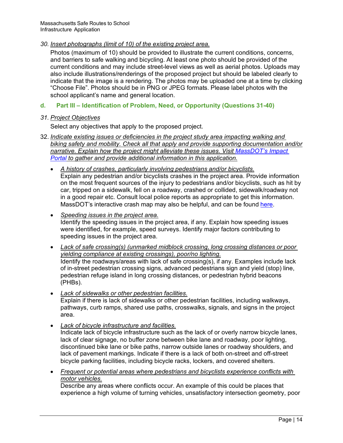#### *30. Insert photographs (limit of 10) of the existing project area.*

Photos (maximum of 10) should be provided to illustrate the current conditions, concerns, and barriers to safe walking and bicycling. At least one photo should be provided of the current conditions and may include street-level views as well as aerial photos. Uploads may also include illustrations/renderings of the proposed project but should be labeled clearly to indicate that the image is a rendering. The photos may be uploaded one at a time by clicking "Choose File". Photos should be in PNG or JPEG formats. Please label photos with the school applicant's name and general location.

## <span id="page-15-0"></span>**d. Part III – Identification of Problem, Need, or Opportunity (Questions 31-40)**

#### *31. Project Objectives*

Select any objectives that apply to the proposed project.

- 32. *Indicate existing issues or deficiencies in the project study area impacting walking and biking safety and mobility. Check all that apply and provide supporting documentation and/or narrative. Explain how the project might alleviate these issues. Visit [MassDOT's Impact](https://apps.impact.dot.state.ma.us/cdp/home) [Portal](https://apps.impact.dot.state.ma.us/cdp/home) to gather and provide additional information in this application.*
	- *A history of crashes, particularly involving pedestrians and/or bicyclists.* Explain any pedestrian and/or bicyclists crashes in the project area. Provide information on the most frequent sources of the injury to pedestrians and/or bicyclists, such as hit by car, tripped on a sidewalk, fell on a roadway, crashed or collided, sidewalk/roadway not in a good repair etc. Consult local police reports as appropriate to get this information. MassDOT's interactive crash map may also be helpful, and can be found [here.](https://apps.impact.dot.state.ma.us/cdp/dashboard-list/12)
	- *Speeding issues in the project area.* Identify the speeding issues in the project area, if any. Explain how speeding issues were identified, for example, speed surveys. Identify major factors contributing to speeding issues in the project area.
	- *Lack of safe crossing(s) (unmarked midblock crossing, long crossing distances or poor yielding compliance at existing crossings), poor/no lighting.* Identify the roadways/areas with lack of safe crossing(s), if any. Examples include lack of in-street pedestrian crossing signs, advanced pedestrians sign and yield (stop) line, pedestrian refuge island in long crossing distances, or pedestrian hybrid beacons (PHBs).
	- *Lack of sidewalks or other pedestrian facilities.* Explain if there is lack of sidewalks or other pedestrian facilities, including walkways, pathways, curb ramps, shared use paths, crosswalks, signals, and signs in the project area.
	- *Lack of bicycle infrastructure and facilities.* Indicate lack of bicycle infrastructure such as the lack of or overly narrow bicycle lanes, lack of clear signage, no buffer zone between bike lane and roadway, poor lighting, discontinued bike lane or bike paths, narrow outside lanes or roadway shoulders, and lack of pavement markings. Indicate if there is a lack of both on-street and off-street bicycle parking facilities, including bicycle racks, lockers, and covered shelters.
	- *Frequent or potential areas where pedestrians and bicyclists experience conflicts with motor vehicles.*

Describe any areas where conflicts occur. An example of this could be places that experience a high volume of turning vehicles, unsatisfactory intersection geometry, poor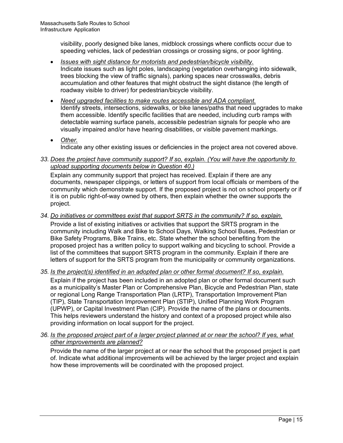visibility, poorly designed bike lanes, midblock crossings where conflicts occur due to speeding vehicles, lack of pedestrian crossings or crossing signs, or poor lighting.

- *Issues with sight distance for motorists and pedestrian/bicycle visibility.* Indicate issues such as light poles, landscaping (vegetation overhanging into sidewalk, trees blocking the view of traffic signals), parking spaces near crosswalks, debris accumulation and other features that might obstruct the sight distance (the length of roadway visible to driver) for pedestrian/bicycle visibility.
- *Need upgraded facilities to make routes accessible and ADA compliant.* Identify streets, intersections, sidewalks, or bike lanes/paths that need upgrades to make them accessible. Identify specific facilities that are needed, including curb ramps with detectable warning surface panels, accessible pedestrian signals for people who are visually impaired and/or have hearing disabilities, or visible pavement markings.
- *Other.* Indicate any other existing issues or deficiencies in the project area not covered above.

## *33. Does the project have community support? If so, explain. (You will have the opportunity to upload supporting documents below in Question 40.)*

Explain any community support that project has received. Explain if there are any documents, newspaper clippings, or letters of support from local officials or members of the community which demonstrate support. If the proposed project is not on school property or if it is on public right-of-way owned by others, then explain whether the owner supports the project.

# *34. Do initiatives or committees exist that support SRTS in the community? If so, explain.*

Provide a list of existing initiatives or activities that support the SRTS program in the community including Walk and Bike to School Days, Walking School Buses, Pedestrian or Bike Safety Programs, Bike Trains, etc. State whether the school benefiting from the proposed project has a written policy to support walking and bicycling to school. Provide a list of the committees that support SRTS program in the community. Explain if there are letters of support for the SRTS program from the municipality or community organizations.

# *35. Is the project(s) identified in an adopted plan or other formal document? If so, explain.*

Explain if the project has been included in an adopted plan or other formal document such as a municipality's Master Plan or Comprehensive Plan, Bicycle and Pedestrian Plan, state or regional Long Range Transportation Plan (LRTP), Transportation Improvement Plan (TIP), State Transportation Improvement Plan (STIP), Unified Planning Work Program (UPWP), or Capital Investment Plan (CIP). Provide the name of the plans or documents. This helps reviewers understand the history and context of a proposed project while also providing information on local support for the project.

# *36. Is the proposed project part of a larger project planned at or near the school? If yes, what other improvements are planned?*

Provide the name of the larger project at or near the school that the proposed project is part of. Indicate what additional improvements will be achieved by the larger project and explain how these improvements will be coordinated with the proposed project.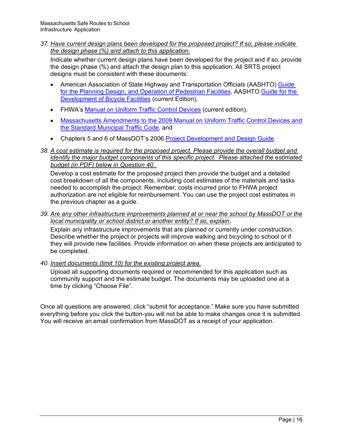*37. Have current design plans been developed for the proposed project? If so, please indicate the design phase (%) and attach to this application.*

Indicate whether current design plans have been developed for the project and if so, provide the design phase (%) and attach the design plan to this application. All SRTS project designs must be consistent with these documents:

- American Association of State Highway and Transportation Officials (AASHTO) [Guide](https://store.transportation.org/Item/CollectionDetail?ID=131)  [for the Planning Design, and Operation of Pedestrian Facilities,](https://store.transportation.org/Item/CollectionDetail?ID=131) AASHTO [Guide for the](https://store.transportation.org/Item/CollectionDetail?ID=116)  [Development of Bicycle Facilities](https://store.transportation.org/Item/CollectionDetail?ID=116) (current Edition),
- FHWA's [Manual on Uniform Traffic Control Devices](https://mutcd.fhwa.dot.gov/) (current edition),
- [Massachusetts Amendments to the 2009 Manual on Uniform Traffic Control Devices and](https://www.mass.gov/service-details/mutcd-massachusetts-amendments)  [the Standard Municipal Traffic Code,](https://www.mass.gov/service-details/mutcd-massachusetts-amendments) and
- Chapters 5 and 6 of MassDOT's 2006 [Project Development and Design Guide.](https://www.mass.gov/lists/design-guides-and-manuals)

#### *38. A cost estimate is required for the proposed project. Please provide the overall budget and identify the major budget components of this specific project. Please attached the estimated budget (in PDF) below in Question 40.*

Develop a cost estimate for the proposed project then provide the budget and a detailed cost breakdown of all the components, including cost estimates of the materials and tasks needed to accomplish the project. Remember, costs incurred prior to FHWA project authorization are not eligible for reimbursement. You can use the project cost estimates in the previous chapter as a guide.

*39. Are any other infrastructure improvements planned at or near the school by MassDOT or the local municipality or school district or another entity? If so, explain.*

Explain any infrastructure improvements that are planned or currently under construction. Describe whether the project or projects will improve walking and bicycling to school or if they will provide new facilities. Provide information on when these projects are anticipated to be completed.

*40. Insert documents (limit 10) for the existing project area.*

Upload all supporting documents required or recommended for this application such as community support and the estimate budget. The documents may be uploaded one at a time by clicking "Choose File".

Once all questions are answered, click "submit for acceptance." Make sure you have submitted everything before you click the button-you will not be able to make changes once it is submitted. You will receive an email confirmation from MassDOT as a receipt of your application.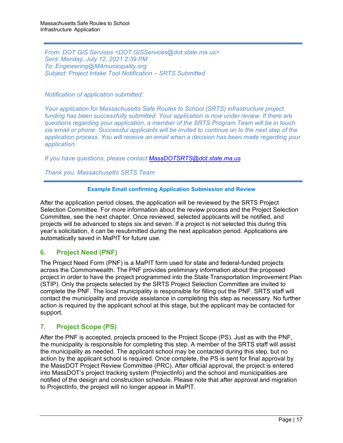*From: DOT GIS Services <DOT.GISServices@dot.state.ma.us> Sent: Monday, July 12, 2021 2:39 PM To: Engineering@MAmunicipality.org Subject: Project Intake Tool Notification – SRTS Submitted*

*Notification of application submitted:*

*Your application for Massachusetts Safe Routes to School (SRTS) infrastructure project funding has been successfully submitted. Your application is now under review. If there are questions regarding your application, a member of the SRTS Program Team will be in touch via email or phone. Successful applicants will be invited to continue on to the next step of the application process. You will receive an email when a decision has been made regarding your application.* 

*If you have questions, please contact MassDOTSRTS[@dot.state.ma.us](mailto:MassDOTSRTS@dot.state.ma.us)*

*Thank you, Massachusetts SRTS Team* 

#### **Example Email confirming Application Submission and Review**

After the application period closes, the application will be reviewed by the SRTS Project Selection Committee. For more information about the review process and the Project Selection Committee, see the next chapter. Once reviewed, selected applicants will be notified, and projects will be advanced to steps six and seven. If a project is not selected this during this year's solicitation, it can be resubmitted during the next application period. Applications are automatically saved in MaPIT for future use.

# <span id="page-18-0"></span>**6. Project Need (PNF)**

The Project Need Form (PNF) is a MaPIT form used for state and federal-funded projects across the Commonwealth. The PNF provides preliminary information about the proposed project in order to have the project programmed into the State Transportation Improvement Plan (STIP). Only the projects selected by the SRTS Project Selection Committee are invited to complete the PNF. The local municipality is responsible for filling out the PNF. SRTS staff will contact the municipality and provide assistance in completing this step as necessary. No further action is required by the applicant school at this stage, but the applicant may be contacted for support.

# <span id="page-18-1"></span>**7. Project Scope (PS)**

After the PNF is accepted, projects proceed to the Project Scope (PS). Just as with the PNF, the municipality is responsible for completing this step. A member of the SRTS staff will assist the municipality as needed. The applicant school may be contacted during this step, but no action by the applicant school is required. Once complete, the PS is sent for final approval by the MassDOT Project Review Committee (PRC). After official approval, the project is entered into MassDOT's project tracking system (ProjectInfo) and the school and municipalities are notified of the design and construction schedule. Please note that after approval and migration to ProjectInfo, the project will no longer appear in MaPIT.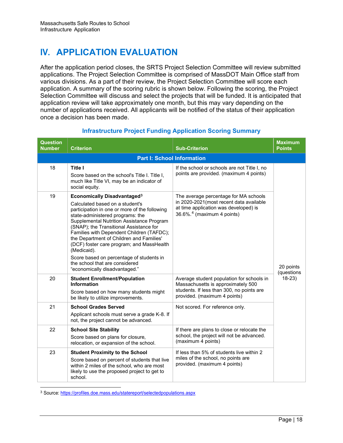# <span id="page-19-0"></span>**IV. APPLICATION EVALUATION**

After the application period closes, the SRTS Project Selection Committee will review submitted applications. The Project Selection Committee is comprised of MassDOT Main Office staff from various divisions. As a part of their review, the Project Selection Committee will score each application. A summary of the scoring rubric is shown below. Following the scoring, the Project Selection Committee will discuss and select the projects that will be funded. It is anticipated that application review will take approximately one month, but this may vary depending on the number of applications received. All applicants will be notified of the status of their application once a decision has been made.

| <b>Question</b><br><b>Number</b>  | <b>Criterion</b>                                                                                                                                                                                                                                                                                                                                                                                                                                                                                                                  | <b>Sub-Criterion</b>                                                                                                                                                   | <b>Maximum</b><br><b>Points</b> |  |  |  |
|-----------------------------------|-----------------------------------------------------------------------------------------------------------------------------------------------------------------------------------------------------------------------------------------------------------------------------------------------------------------------------------------------------------------------------------------------------------------------------------------------------------------------------------------------------------------------------------|------------------------------------------------------------------------------------------------------------------------------------------------------------------------|---------------------------------|--|--|--|
| <b>Part I: School Information</b> |                                                                                                                                                                                                                                                                                                                                                                                                                                                                                                                                   |                                                                                                                                                                        |                                 |  |  |  |
| 18                                | <b>Title I</b><br>Score based on the school's Title I. Title I,<br>much like Title VI, may be an indicator of<br>social equity.                                                                                                                                                                                                                                                                                                                                                                                                   | If the school or schools are not Title I, no<br>points are provided. (maximum 4 points)                                                                                |                                 |  |  |  |
| 19                                | <b>Economically Disadvantaged<sup>3</sup></b><br>Calculated based on a student's<br>participation in one or more of the following<br>state-administered programs: the<br>Supplemental Nutrition Assistance Program<br>(SNAP); the Transitional Assistance for<br>Families with Dependent Children (TAFDC);<br>the Department of Children and Families'<br>(DCF) foster care program; and MassHealth<br>(Medicaid).<br>Score based on percentage of students in<br>the school that are considered<br>"economically disadvantaged." | The average percentage for MA schools<br>in 2020-2021 (most recent data available<br>at time application was developed) is<br>$36.6\%$ <sup>4</sup> (maximum 4 points) | 20 points<br>(questions         |  |  |  |
| 20                                | <b>Student Enrollment/Population</b><br><b>Information</b><br>Score based on how many students might<br>be likely to utilize improvements.                                                                                                                                                                                                                                                                                                                                                                                        | Average student population for schools in<br>Massachusetts is approximately 500<br>students. If less than 300, no points are<br>provided. (maximum 4 points)           | $18-23$                         |  |  |  |
| 21                                | <b>School Grades Served</b><br>Applicant schools must serve a grade K-8. If<br>not, the project cannot be advanced.                                                                                                                                                                                                                                                                                                                                                                                                               | Not scored. For reference only.                                                                                                                                        |                                 |  |  |  |
| 22                                | <b>School Site Stability</b><br>Score based on plans for closure,<br>relocation, or expansion of the school.                                                                                                                                                                                                                                                                                                                                                                                                                      | If there are plans to close or relocate the<br>school, the project will not be advanced.<br>(maximum 4 points)                                                         |                                 |  |  |  |
| 23                                | <b>Student Proximity to the School</b><br>Score based on percent of students that live<br>within 2 miles of the school, who are most<br>likely to use the proposed project to get to<br>school.                                                                                                                                                                                                                                                                                                                                   | If less than 5% of students live within 2<br>miles of the school, no points are<br>provided. (maximum 4 points)                                                        |                                 |  |  |  |

# **Infrastructure Project Funding Application Scoring Summary**

<span id="page-19-2"></span><span id="page-19-1"></span><sup>3</sup> Source: <https://profiles.doe.mass.edu/statereport/selectedpopulations.aspx>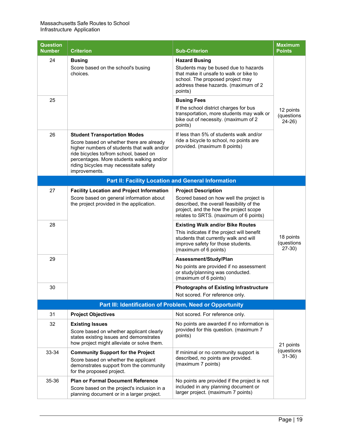| <b>Question</b><br><b>Number</b>                         | <b>Criterion</b>                                                                                                                                                                                                                                                                 | <b>Sub-Criterion</b>                                                                                                                                                                          | <b>Maximum</b><br><b>Points</b>     |  |  |  |
|----------------------------------------------------------|----------------------------------------------------------------------------------------------------------------------------------------------------------------------------------------------------------------------------------------------------------------------------------|-----------------------------------------------------------------------------------------------------------------------------------------------------------------------------------------------|-------------------------------------|--|--|--|
| 24                                                       | <b>Busing</b><br>Score based on the school's busing<br>choices.                                                                                                                                                                                                                  | <b>Hazard Busing</b><br>Students may be bused due to hazards<br>that make it unsafe to walk or bike to<br>school. The proposed project may<br>address these hazards. (maximum of 2<br>points) |                                     |  |  |  |
| 25                                                       |                                                                                                                                                                                                                                                                                  | <b>Busing Fees</b><br>If the school district charges for bus<br>transportation, more students may walk or<br>bike out of necessity. (maximum of 2<br>points)                                  | 12 points<br>(questions<br>$24-26$  |  |  |  |
| 26                                                       | <b>Student Transportation Modes</b><br>Score based on whether there are already<br>higher numbers of students that walk and/or<br>ride bicycles to/from school, based on<br>percentages. More students walking and/or<br>riding bicycles may necessitate safety<br>improvements. | If less than 5% of students walk and/or<br>ride a bicycle to school, no points are<br>provided. (maximum 8 points)                                                                            |                                     |  |  |  |
|                                                          | Part II: Facility Location and General Information                                                                                                                                                                                                                               |                                                                                                                                                                                               |                                     |  |  |  |
| 27                                                       | <b>Facility Location and Project Information</b>                                                                                                                                                                                                                                 | <b>Project Description</b>                                                                                                                                                                    |                                     |  |  |  |
|                                                          | Score based on general information about<br>the project provided in the application.                                                                                                                                                                                             | Scored based on how well the project is<br>described, the overall feasibility of the<br>project, and the how the project scope<br>relates to SRTS. (maximum of 6 points)                      |                                     |  |  |  |
| 28                                                       |                                                                                                                                                                                                                                                                                  | <b>Existing Walk and/or Bike Routes</b><br>This indicates if the project will benefit<br>students that currently walk and will<br>improve safety for those students.<br>(maximum of 6 points) | 18 points<br>(questions<br>$27-30)$ |  |  |  |
| 29                                                       |                                                                                                                                                                                                                                                                                  | Assessment/Study/Plan<br>No points are provided if no assessment<br>or study/planning was conducted.<br>(maximum of 6 points)                                                                 |                                     |  |  |  |
| 30                                                       |                                                                                                                                                                                                                                                                                  | <b>Photographs of Existing Infrastructure</b>                                                                                                                                                 |                                     |  |  |  |
|                                                          |                                                                                                                                                                                                                                                                                  | Not scored. For reference only.                                                                                                                                                               |                                     |  |  |  |
| Part III: Identification of Problem, Need or Opportunity |                                                                                                                                                                                                                                                                                  |                                                                                                                                                                                               |                                     |  |  |  |
| 31                                                       | <b>Project Objectives</b>                                                                                                                                                                                                                                                        | Not scored. For reference only.                                                                                                                                                               |                                     |  |  |  |
| 32                                                       | <b>Existing Issues</b><br>Score based on whether applicant clearly<br>states existing issues and demonstrates<br>how project might alleviate or solve them.                                                                                                                      | No points are awarded if no information is<br>provided for this question. (maximum 7<br>points)                                                                                               | 21 points<br>(questions<br>$31-36)$ |  |  |  |
| 33-34                                                    | <b>Community Support for the Project</b><br>Score based on whether the applicant<br>demonstrates support from the community<br>for the proposed project.                                                                                                                         | If minimal or no community support is<br>described, no points are provided.<br>(maximum 7 points)                                                                                             |                                     |  |  |  |
| 35-36                                                    | <b>Plan or Formal Document Reference</b><br>Score based on the project's inclusion in a<br>planning document or in a larger project.                                                                                                                                             | No points are provided if the project is not<br>included in any planning document or<br>larger project. (maximum 7 points)                                                                    |                                     |  |  |  |